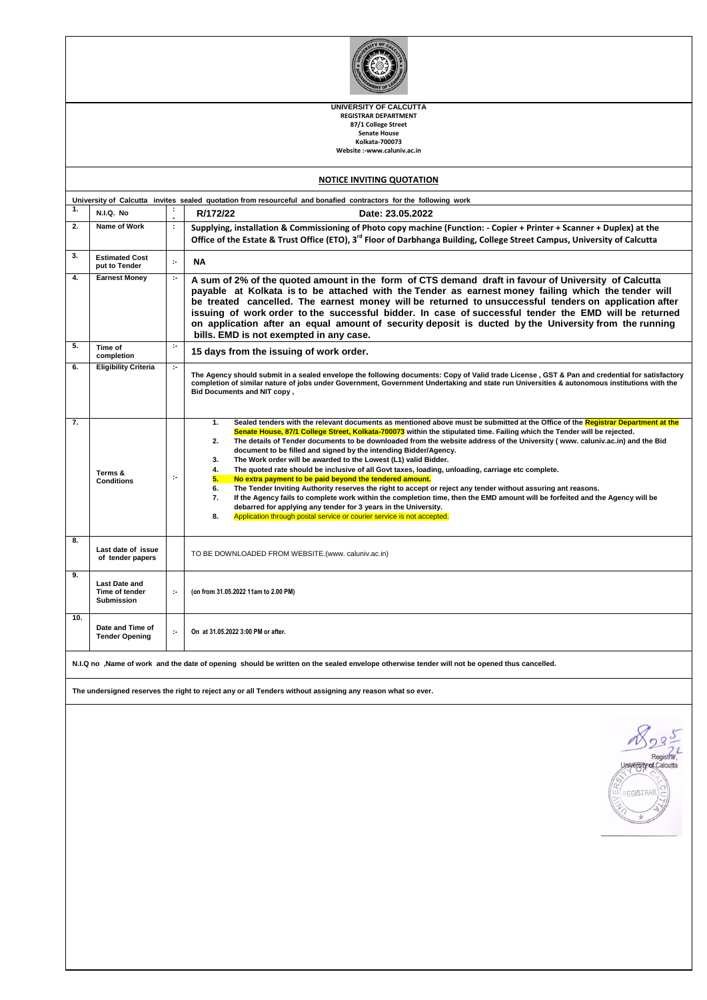| UNIVERSITY OF CALCUTTA<br><b>REGISTRAR DEPARTMENT</b><br>87/1 College Street<br><b>Senate House</b><br>Kolkata-700073<br>Website :-www.caluniv.ac.in |                                                             |               |                                                                                                                                                                                                                                                                                                                                                                                                                                                                                                                                                                                                                                                                                                                                                                                                                                                                                                                                                                                                                                                                                                                                                    |  |  |  |  |  |  |
|------------------------------------------------------------------------------------------------------------------------------------------------------|-------------------------------------------------------------|---------------|----------------------------------------------------------------------------------------------------------------------------------------------------------------------------------------------------------------------------------------------------------------------------------------------------------------------------------------------------------------------------------------------------------------------------------------------------------------------------------------------------------------------------------------------------------------------------------------------------------------------------------------------------------------------------------------------------------------------------------------------------------------------------------------------------------------------------------------------------------------------------------------------------------------------------------------------------------------------------------------------------------------------------------------------------------------------------------------------------------------------------------------------------|--|--|--|--|--|--|
|                                                                                                                                                      |                                                             |               | <b>NOTICE INVITING QUOTATION</b>                                                                                                                                                                                                                                                                                                                                                                                                                                                                                                                                                                                                                                                                                                                                                                                                                                                                                                                                                                                                                                                                                                                   |  |  |  |  |  |  |
| 1.                                                                                                                                                   |                                                             | ÷             | University of Calcutta invites sealed quotation from resourceful and bonafied contractors for the following work                                                                                                                                                                                                                                                                                                                                                                                                                                                                                                                                                                                                                                                                                                                                                                                                                                                                                                                                                                                                                                   |  |  |  |  |  |  |
| 2.                                                                                                                                                   | N.I.Q. No.<br>Name of Work                                  | $\mathcal{I}$ | R/172/22<br>Date: 23.05.2022                                                                                                                                                                                                                                                                                                                                                                                                                                                                                                                                                                                                                                                                                                                                                                                                                                                                                                                                                                                                                                                                                                                       |  |  |  |  |  |  |
|                                                                                                                                                      |                                                             |               | Supplying, installation & Commissioning of Photo copy machine (Function: - Copier + Printer + Scanner + Duplex) at the<br>Office of the Estate & Trust Office (ETO), 3 <sup>rd</sup> Floor of Darbhanga Building, College Street Campus, University of Calcutta                                                                                                                                                                                                                                                                                                                                                                                                                                                                                                                                                                                                                                                                                                                                                                                                                                                                                    |  |  |  |  |  |  |
| 3.                                                                                                                                                   | <b>Estimated Cost</b><br>put to Tender                      | $\sim$        | NΑ                                                                                                                                                                                                                                                                                                                                                                                                                                                                                                                                                                                                                                                                                                                                                                                                                                                                                                                                                                                                                                                                                                                                                 |  |  |  |  |  |  |
| 4.                                                                                                                                                   | <b>Earnest Money</b>                                        | $\sim$        | A sum of 2% of the quoted amount in the form of CTS demand draft in favour of University of Calcutta<br>payable at Kolkata is to be attached with the Tender as earnest money failing which the tender will<br>be treated cancelled. The earnest money will be returned to unsuccessful tenders on application after<br>issuing of work order to the successful bidder. In case of successful tender the EMD will be returned<br>on application after an equal amount of security deposit is ducted by the University from the running<br>bills. EMD is not exempted in any case.                                                                                                                                                                                                                                                                                                                                                                                                                                                                                                                                                                  |  |  |  |  |  |  |
| 5.                                                                                                                                                   | Time of<br>completion                                       | $\sim$        | 15 days from the issuing of work order.                                                                                                                                                                                                                                                                                                                                                                                                                                                                                                                                                                                                                                                                                                                                                                                                                                                                                                                                                                                                                                                                                                            |  |  |  |  |  |  |
| 6.                                                                                                                                                   | <b>Eligibility Criteria</b>                                 | $\sim$        | The Agency should submit in a sealed envelope the following documents: Copy of Valid trade License, GST & Pan and credential for satisfactory<br>completion of similar nature of jobs under Government, Government Undertaking and state run Universities & autonomous institutions with the<br>Bid Documents and NIT copy,                                                                                                                                                                                                                                                                                                                                                                                                                                                                                                                                                                                                                                                                                                                                                                                                                        |  |  |  |  |  |  |
| 7.                                                                                                                                                   | Terms &<br><b>Conditions</b>                                | ÷,            | Sealed tenders with the relevant documents as mentioned above must be submitted at the Office of the Registrar Department at the<br>1.<br>Senate House, 87/1 College Street, Kolkata-700073 within the stipulated time. Failing which the Tender will be rejected.<br>The details of Tender documents to be downloaded from the website address of the University (www. caluniv.ac.in) and the Bid<br>2.<br>document to be filled and signed by the intending Bidder/Agency.<br>The Work order will be awarded to the Lowest (L1) valid Bidder.<br>3.<br>The quoted rate should be inclusive of all Govt taxes, loading, unloading, carriage etc complete.<br>4.<br>No extra payment to be paid beyond the tendered amount.<br>5.<br>The Tender Inviting Authority reserves the right to accept or reject any tender without assuring ant reasons.<br>6.<br>7.<br>If the Agency fails to complete work within the completion time, then the EMD amount will be forfeited and the Agency will be<br>debarred for applying any tender for 3 years in the University.<br>Application through postal service or courier service is not accepted.<br>8. |  |  |  |  |  |  |
| 8.                                                                                                                                                   | Last date of issue<br>of tender papers                      |               | TO BE DOWNLOADED FROM WEBSITE.(www. caluniv.ac.in)                                                                                                                                                                                                                                                                                                                                                                                                                                                                                                                                                                                                                                                                                                                                                                                                                                                                                                                                                                                                                                                                                                 |  |  |  |  |  |  |
| У.                                                                                                                                                   | <b>Last Date and</b><br>Time of tender<br><b>Submission</b> | ÷,            | (on from 31.05.2022 11am to 2.00 PM)                                                                                                                                                                                                                                                                                                                                                                                                                                                                                                                                                                                                                                                                                                                                                                                                                                                                                                                                                                                                                                                                                                               |  |  |  |  |  |  |
| 10.                                                                                                                                                  | Date and Time of<br><b>Tender Opening</b>                   | ÷,            | On at 31.05.2022 3:00 PM or after.                                                                                                                                                                                                                                                                                                                                                                                                                                                                                                                                                                                                                                                                                                                                                                                                                                                                                                                                                                                                                                                                                                                 |  |  |  |  |  |  |
|                                                                                                                                                      |                                                             |               | N.I.Q no ,Name of work and the date of opening should be written on the sealed envelope otherwise tender will not be opened thus cancelled.                                                                                                                                                                                                                                                                                                                                                                                                                                                                                                                                                                                                                                                                                                                                                                                                                                                                                                                                                                                                        |  |  |  |  |  |  |
|                                                                                                                                                      |                                                             |               | The undersigned reserves the right to reject any or all Tenders without assigning any reason what so ever.                                                                                                                                                                                                                                                                                                                                                                                                                                                                                                                                                                                                                                                                                                                                                                                                                                                                                                                                                                                                                                         |  |  |  |  |  |  |
|                                                                                                                                                      |                                                             |               | Registra<br>University of Calcutta<br>REGISTRAR                                                                                                                                                                                                                                                                                                                                                                                                                                                                                                                                                                                                                                                                                                                                                                                                                                                                                                                                                                                                                                                                                                    |  |  |  |  |  |  |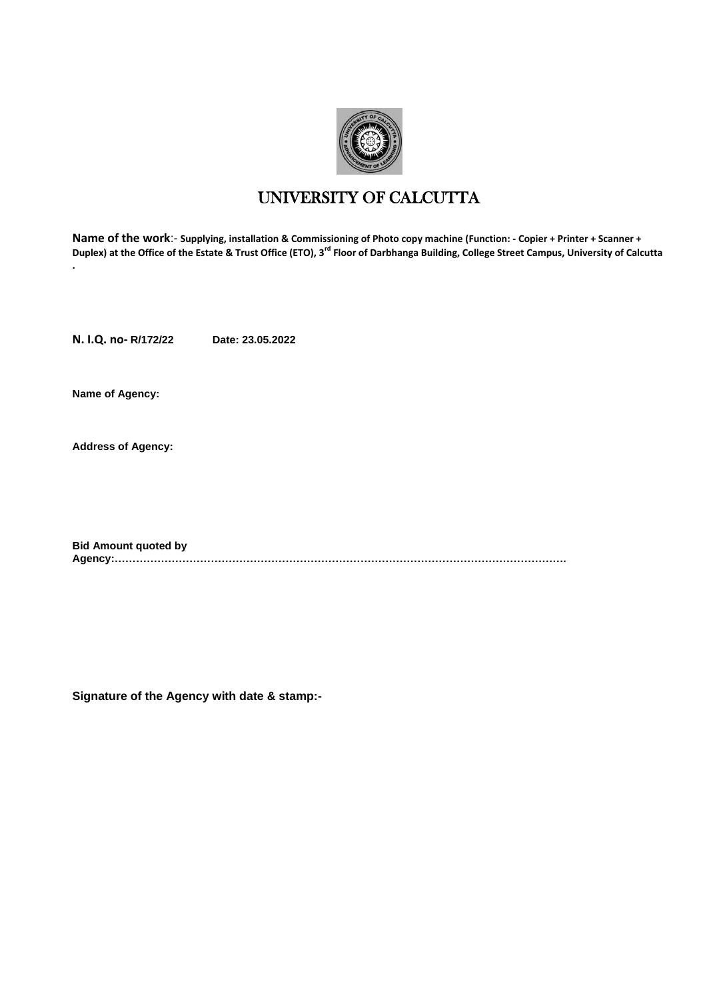

# UNIVERSITY OF CALCUTTA

**Name of the work**:- **Supplying, installation & Commissioning of Photo copy machine (Function: - Copier + Printer + Scanner + Duplex) at the Office of the Estate & Trust Office (ETO), 3rd Floor of Darbhanga Building, College Street Campus, University of Calcutta .**

**N. I.Q. no- R/172/22 Date: 23.05.2022**

**Name of Agency:**

**Address of Agency:**

**Bid Amount quoted by Agency:……………………………………………………………………………………………………………….**

**Signature of the Agency with date & stamp:-**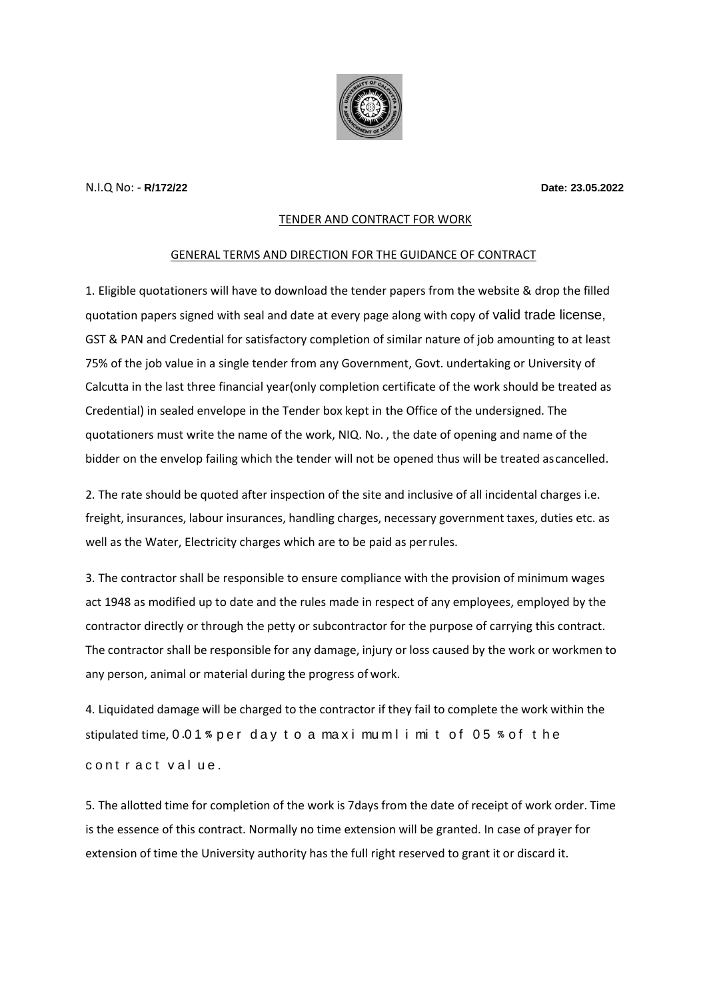

### N.I.Q No: - **R/172/22 Date: 23.05.2022**

# TENDER AND CONTRACT FOR WORK

### GENERAL TERMS AND DIRECTION FOR THE GUIDANCE OF CONTRACT

1. Eligible quotationers will have to download the tender papers from the website & drop the filled quotation papers signed with seal and date at every page along with copy of valid trade license, GST & PAN and Credential for satisfactory completion of similar nature of job amounting to at least 75% of the job value in a single tender from any Government, Govt. undertaking or University of Calcutta in the last three financial year(only completion certificate of the work should be treated as Credential) in sealed envelope in the Tender box kept in the Office of the undersigned. The quotationers must write the name of the work, NIQ. No. , the date of opening and name of the bidder on the envelop failing which the tender will not be opened thus will be treated ascancelled.

2. The rate should be quoted after inspection of the site and inclusive of all incidental charges i.e. freight, insurances, labour insurances, handling charges, necessary government taxes, duties etc. as well as the Water, Electricity charges which are to be paid as perrules.

3. The contractor shall be responsible to ensure compliance with the provision of minimum wages act 1948 as modified up to date and the rules made in respect of any employees, employed by the contractor directly or through the petty or subcontractor for the purpose of carrying this contract. The contractor shall be responsible for any damage, injury or loss caused by the work or workmen to any person, animal or material during the progress of work.

4. Liquidated damage will be charged to the contractor if they fail to complete the work within the stipulated time, 0.01% per day to a maxi mu m l i mi t of 05% of the contract value.

5. The allotted time for completion of the work is 7days from the date of receipt of work order. Time is the essence of this contract. Normally no time extension will be granted. In case of prayer for extension of time the University authority has the full right reserved to grant it or discard it.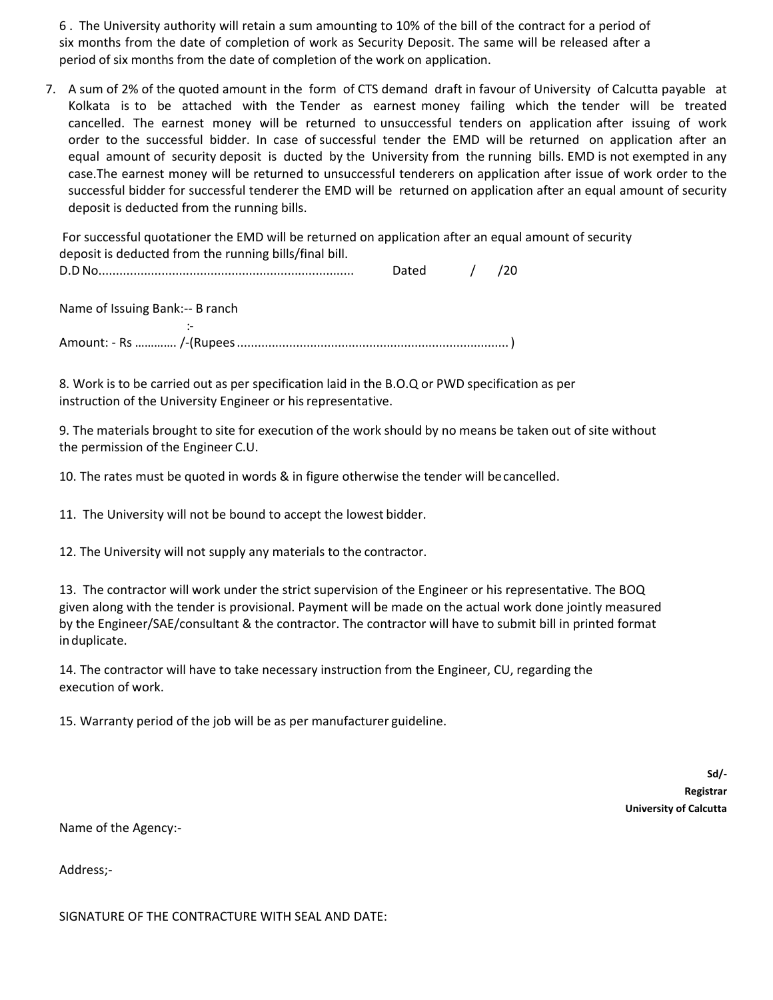6 . The University authority will retain a sum amounting to 10% of the bill of the contract for a period of six months from the date of completion of work as Security Deposit. The same will be released after a period of six months from the date of completion of the work on application.

7. A sum of 2% of the quoted amount in the form of CTS demand draft in favour of University of Calcutta payable at Kolkata is to be attached with the Tender as earnest money failing which the tender will be treated cancelled. The earnest money will be returned to unsuccessful tenders on application after issuing of work order to the successful bidder. In case of successful tender the EMD will be returned on application after an equal amount of security deposit is ducted by the University from the running bills. EMD is not exempted in any case.The earnest money will be returned to unsuccessful tenderers on application after issue of work order to the successful bidder for successful tenderer the EMD will be returned on application after an equal amount of security deposit is deducted from the running bills.

For successful quotationer the EMD will be returned on application after an equal amount of security deposit is deducted from the running bills/final bill.

| . L<br>レ.ι |  |
|------------|--|
|------------|--|

Name of Issuing Bank:-- B ranch

:-

Amount: - Rs …………. /-(Rupees.............................................................................. )

8. Work is to be carried out as per specification laid in the B.O.Q or PWD specification as per instruction of the University Engineer or his representative.

9. The materials brought to site for execution of the work should by no means be taken out of site without the permission of the Engineer C.U.

10. The rates must be quoted in words & in figure otherwise the tender will becancelled.

11. The University will not be bound to accept the lowest bidder.

12. The University will not supply any materials to the contractor.

13. The contractor will work under the strict supervision of the Engineer or his representative. The BOQ given along with the tender is provisional. Payment will be made on the actual work done jointly measured by the Engineer/SAE/consultant & the contractor. The contractor will have to submit bill in printed format induplicate.

14. The contractor will have to take necessary instruction from the Engineer, CU, regarding the execution of work.

15. Warranty period of the job will be as per manufacturer guideline.

**Sd/- Registrar University of Calcutta** 

Name of the Agency:-

Address;-

SIGNATURE OF THE CONTRACTURE WITH SEAL AND DATE: